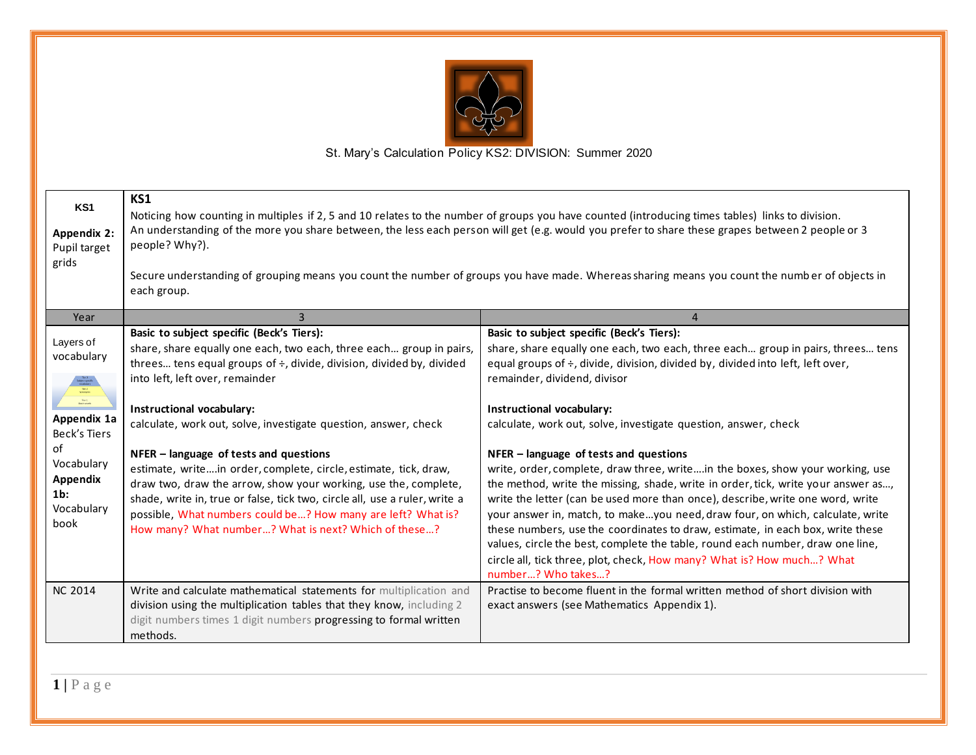

| KS1<br><b>Appendix 2:</b><br>Pupil target<br>grids                                                                                                                       | KS1<br>Noticing how counting in multiples if 2, 5 and 10 relates to the number of groups you have counted (introducing times tables) links to division.<br>An understanding of the more you share between, the less each person will get (e.g. would you prefer to share these grapes between 2 people or 3<br>people? Why?).<br>Secure understanding of grouping means you count the number of groups you have made. Whereas sharing means you count the numb er of objects in<br>each group.                                                                                                                                                                                                                           |                                                                                                                                                                                                                                                                                                                                                                                                                                                                                                                                                                                                                                                                                                                                                                                                                                                                                                                                                                                 |  |
|--------------------------------------------------------------------------------------------------------------------------------------------------------------------------|--------------------------------------------------------------------------------------------------------------------------------------------------------------------------------------------------------------------------------------------------------------------------------------------------------------------------------------------------------------------------------------------------------------------------------------------------------------------------------------------------------------------------------------------------------------------------------------------------------------------------------------------------------------------------------------------------------------------------|---------------------------------------------------------------------------------------------------------------------------------------------------------------------------------------------------------------------------------------------------------------------------------------------------------------------------------------------------------------------------------------------------------------------------------------------------------------------------------------------------------------------------------------------------------------------------------------------------------------------------------------------------------------------------------------------------------------------------------------------------------------------------------------------------------------------------------------------------------------------------------------------------------------------------------------------------------------------------------|--|
| Year                                                                                                                                                                     | 3                                                                                                                                                                                                                                                                                                                                                                                                                                                                                                                                                                                                                                                                                                                        | $\overline{4}$                                                                                                                                                                                                                                                                                                                                                                                                                                                                                                                                                                                                                                                                                                                                                                                                                                                                                                                                                                  |  |
| Layers of<br>vocabulary<br>$\frac{\text{Ter1}}{\text{Lair } \text{work}}$<br>Appendix 1a<br>Beck's Tiers<br>of<br>Vocabulary<br>Appendix<br>$1b$ :<br>Vocabulary<br>book | Basic to subject specific (Beck's Tiers):<br>share, share equally one each, two each, three each group in pairs,<br>threes tens equal groups of $\div$ , divide, division, divided by, divided<br>into left, left over, remainder<br>Instructional vocabulary:<br>calculate, work out, solve, investigate question, answer, check<br>NFER - language of tests and questions<br>estimate, writein order, complete, circle, estimate, tick, draw,<br>draw two, draw the arrow, show your working, use the, complete,<br>shade, write in, true or false, tick two, circle all, use a ruler, write a<br>possible, What numbers could be? How many are left? What is?<br>How many? What number? What is next? Which of these? | Basic to subject specific (Beck's Tiers):<br>share, share equally one each, two each, three each group in pairs, threes tens<br>equal groups of ÷, divide, division, divided by, divided into left, left over,<br>remainder, dividend, divisor<br>Instructional vocabulary:<br>calculate, work out, solve, investigate question, answer, check<br>NFER - language of tests and questions<br>write, order, complete, draw three, writein the boxes, show your working, use<br>the method, write the missing, shade, write in order, tick, write your answer as,<br>write the letter (can be used more than once), describe, write one word, write<br>your answer in, match, to makeyou need, draw four, on which, calculate, write<br>these numbers, use the coordinates to draw, estimate, in each box, write these<br>values, circle the best, complete the table, round each number, draw one line,<br>circle all, tick three, plot, check, How many? What is? How much? What |  |
| <b>NC 2014</b>                                                                                                                                                           | Write and calculate mathematical statements for multiplication and<br>division using the multiplication tables that they know, including 2<br>digit numbers times 1 digit numbers progressing to formal written<br>methods.                                                                                                                                                                                                                                                                                                                                                                                                                                                                                              | number? Who takes?<br>Practise to become fluent in the formal written method of short division with<br>exact answers (see Mathematics Appendix 1).                                                                                                                                                                                                                                                                                                                                                                                                                                                                                                                                                                                                                                                                                                                                                                                                                              |  |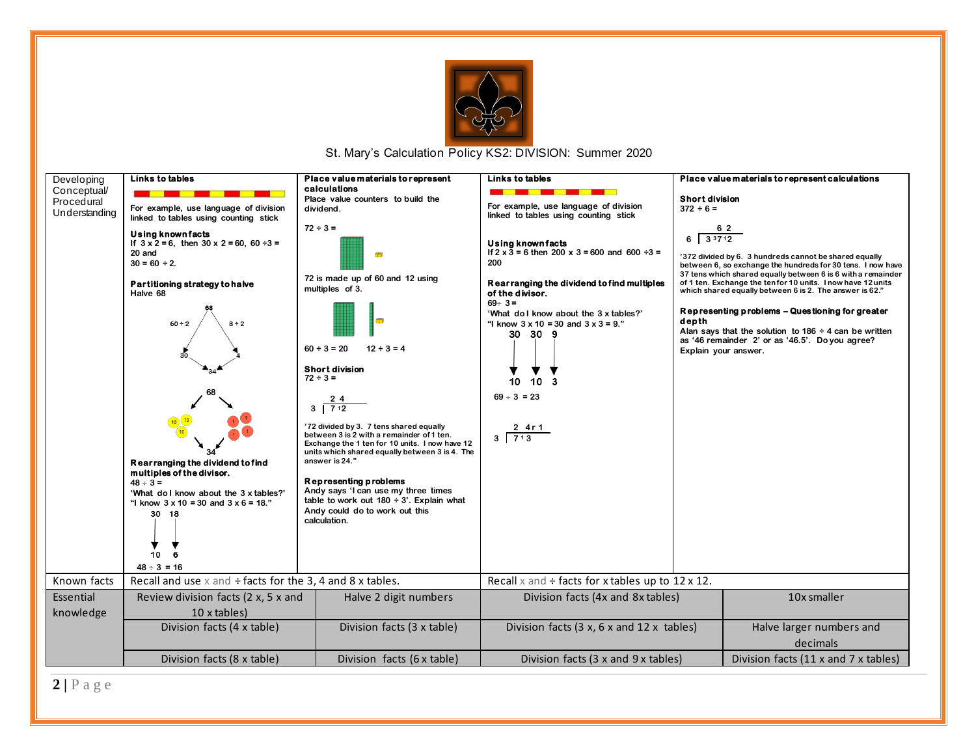

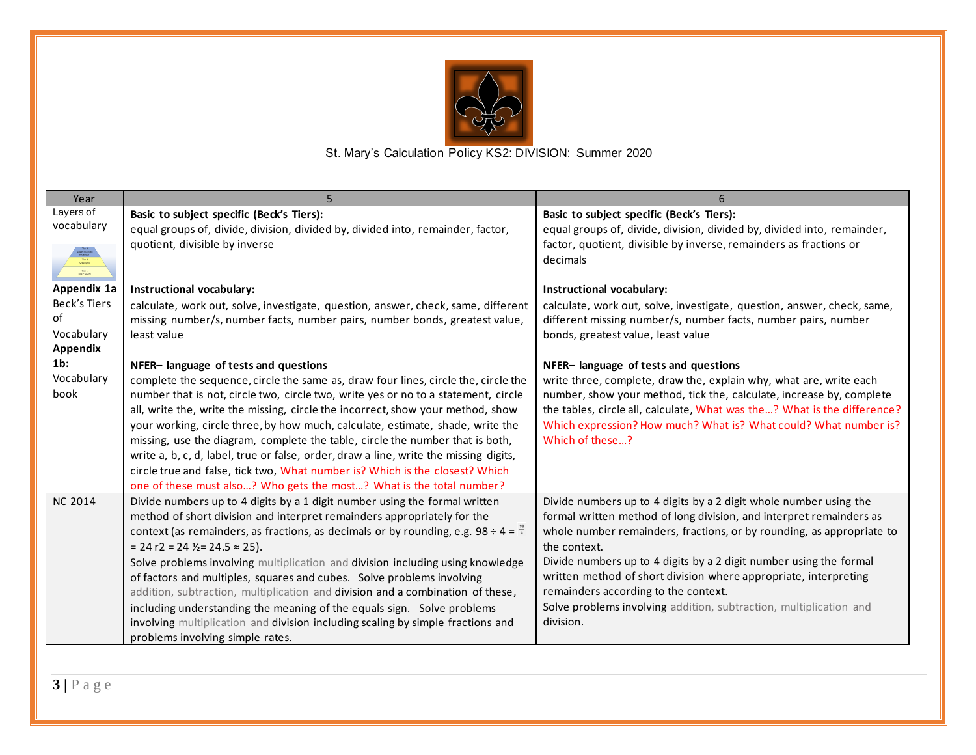

| Year                                            |                                                                                                   |                                                                          |
|-------------------------------------------------|---------------------------------------------------------------------------------------------------|--------------------------------------------------------------------------|
| Layers of                                       | Basic to subject specific (Beck's Tiers):                                                         | Basic to subject specific (Beck's Tiers):                                |
| vocabulary                                      | equal groups of, divide, division, divided by, divided into, remainder, factor,                   | equal groups of, divide, division, divided by, divided into, remainder,  |
|                                                 | quotient, divisible by inverse                                                                    | factor, quotient, divisible by inverse, remainders as fractions or       |
| $\frac{\text{Ter }1}{\text{Back } \text{work}}$ |                                                                                                   | decimals                                                                 |
| Appendix 1a                                     |                                                                                                   |                                                                          |
| <b>Beck's Tiers</b>                             | Instructional vocabulary:                                                                         | Instructional vocabulary:                                                |
| of                                              | calculate, work out, solve, investigate, question, answer, check, same, different                 | calculate, work out, solve, investigate, question, answer, check, same,  |
| Vocabulary                                      | missing number/s, number facts, number pairs, number bonds, greatest value,                       | different missing number/s, number facts, number pairs, number           |
| Appendix                                        | least value                                                                                       | bonds, greatest value, least value                                       |
| $1b$ :                                          |                                                                                                   |                                                                          |
| Vocabulary                                      | NFER-language of tests and questions                                                              | NFER-language of tests and questions                                     |
| book                                            | complete the sequence, circle the same as, draw four lines, circle the, circle the                | write three, complete, draw the, explain why, what are, write each       |
|                                                 | number that is not, circle two, circle two, write yes or no to a statement, circle                | number, show your method, tick the, calculate, increase by, complete     |
|                                                 | all, write the, write the missing, circle the incorrect, show your method, show                   | the tables, circle all, calculate, What was the? What is the difference? |
|                                                 | your working, circle three, by how much, calculate, estimate, shade, write the                    | Which expression? How much? What is? What could? What number is?         |
|                                                 | missing, use the diagram, complete the table, circle the number that is both,                     | Which of these?                                                          |
|                                                 | write a, b, c, d, label, true or false, order, draw a line, write the missing digits,             |                                                                          |
|                                                 | circle true and false, tick two, What number is? Which is the closest? Which                      |                                                                          |
|                                                 | one of these must also? Who gets the most? What is the total number?                              |                                                                          |
| <b>NC 2014</b>                                  | Divide numbers up to 4 digits by a 1 digit number using the formal written                        | Divide numbers up to 4 digits by a 2 digit whole number using the        |
|                                                 | method of short division and interpret remainders appropriately for the                           | formal written method of long division, and interpret remainders as      |
|                                                 | context (as remainders, as fractions, as decimals or by rounding, e.g. $98 \div 4 = \frac{18}{4}$ | whole number remainders, fractions, or by rounding, as appropriate to    |
|                                                 | $= 24 r2 = 24 \frac{1}{2} = 24.5 \approx 25$ ).                                                   | the context.                                                             |
|                                                 | Solve problems involving multiplication and division including using knowledge                    | Divide numbers up to 4 digits by a 2 digit number using the formal       |
|                                                 | of factors and multiples, squares and cubes. Solve problems involving                             | written method of short division where appropriate, interpreting         |
|                                                 | addition, subtraction, multiplication and division and a combination of these,                    | remainders according to the context.                                     |
|                                                 | including understanding the meaning of the equals sign. Solve problems                            | Solve problems involving addition, subtraction, multiplication and       |
|                                                 | involving multiplication and division including scaling by simple fractions and                   | division.                                                                |
|                                                 | problems involving simple rates.                                                                  |                                                                          |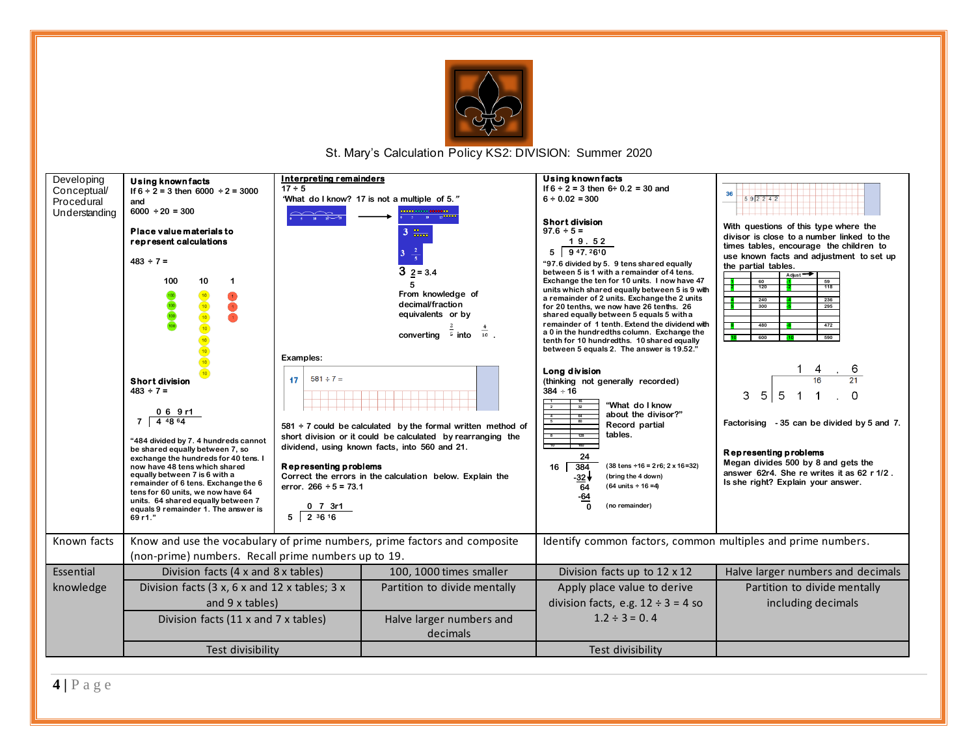



**4 |** P a g e